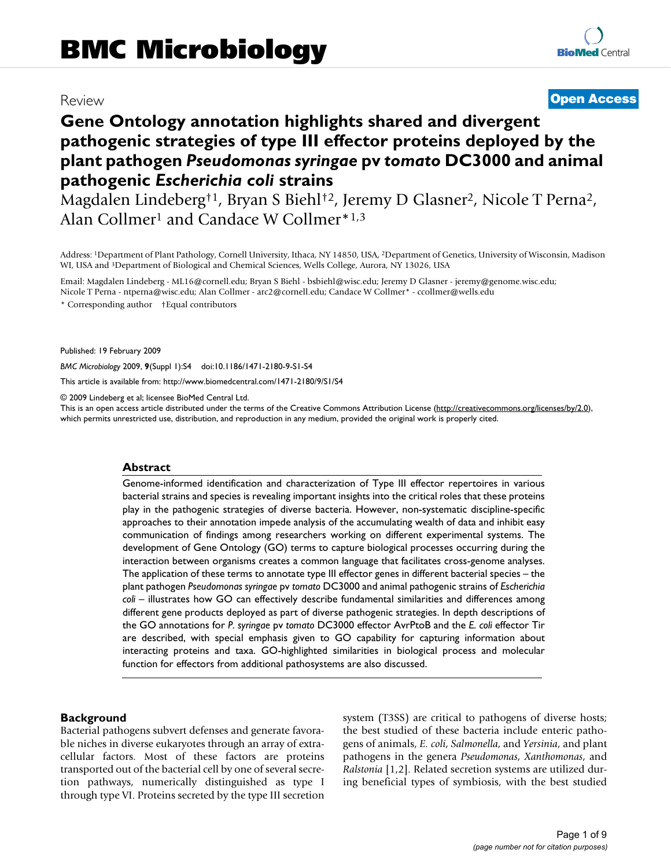# Review **[Open Access](http://www.biomedcentral.com/info/about/charter/)**

# **Gene Ontology annotation highlights shared and divergent pathogenic strategies of type III effector proteins deployed by the plant pathogen** *Pseudomonas syringae* **pv** *tomato* **DC3000 and animal pathogenic** *Escherichia coli* **strains**

Magdalen Lindeberg†1, Bryan S Biehl†2, Jeremy D Glasner2, Nicole T Perna2, Alan Collmer<sup>1</sup> and Candace W Collmer<sup>\*1,3</sup>

Address: 1Department of Plant Pathology, Cornell University, Ithaca, NY 14850, USA, 2Department of Genetics, University of Wisconsin, Madison WI, USA and 3Department of Biological and Chemical Sciences, Wells College, Aurora, NY 13026, USA

Email: Magdalen Lindeberg - ML16@cornell.edu; Bryan S Biehl - bsbiehl@wisc.edu; Jeremy D Glasner - jeremy@genome.wisc.edu; Nicole T Perna - ntperna@wisc.edu; Alan Collmer - arc2@cornell.edu; Candace W Collmer\* - ccollmer@wells.edu \* Corresponding author †Equal contributors

Published: 19 February 2009

*BMC Microbiology* 2009, **9**(Suppl 1):S4 doi:10.1186/1471-2180-9-S1-S4

[This article is available from: http://www.biomedcentral.com/1471-2180/9/S1/S4](http://www.biomedcentral.com/1471-2180/9/S1/S4)

© 2009 Lindeberg et al; licensee BioMed Central Ltd.

This is an open access article distributed under the terms of the Creative Commons Attribution License [\(http://creativecommons.org/licenses/by/2.0\)](http://creativecommons.org/licenses/by/2.0), which permits unrestricted use, distribution, and reproduction in any medium, provided the original work is properly cited.

#### **Abstract**

Genome-informed identification and characterization of Type III effector repertoires in various bacterial strains and species is revealing important insights into the critical roles that these proteins play in the pathogenic strategies of diverse bacteria. However, non-systematic discipline-specific approaches to their annotation impede analysis of the accumulating wealth of data and inhibit easy communication of findings among researchers working on different experimental systems. The development of Gene Ontology (GO) terms to capture biological processes occurring during the interaction between organisms creates a common language that facilitates cross-genome analyses. The application of these terms to annotate type III effector genes in different bacterial species – the plant pathogen *Pseudomonas syringae* pv *tomato* DC3000 and animal pathogenic strains of *Escherichia* coli – illustrates how GO can effectively describe fundamental similarities and differences among different gene products deployed as part of diverse pathogenic strategies. In depth descriptions of the GO annotations for *P. syringae* pv *tomato* DC3000 effector AvrPtoB and the *E. coli* effector Tir are described, with special emphasis given to GO capability for capturing information about interacting proteins and taxa. GO-highlighted similarities in biological process and molecular function for effectors from additional pathosystems are also discussed.

#### **Background**

Bacterial pathogens subvert defenses and generate favorable niches in diverse eukaryotes through an array of extracellular factors. Most of these factors are proteins transported out of the bacterial cell by one of several secretion pathways, numerically distinguished as type I through type VI. Proteins secreted by the type III secretion system (T3SS) are critical to pathogens of diverse hosts; the best studied of these bacteria include enteric pathogens of animals, *E. coli*, *Salmonella*, and *Yersinia*, and plant pathogens in the genera *Pseudomonas*, *Xanthomonas*, and *Ralstonia* [1,2]. Related secretion systems are utilized during beneficial types of symbiosis, with the best studied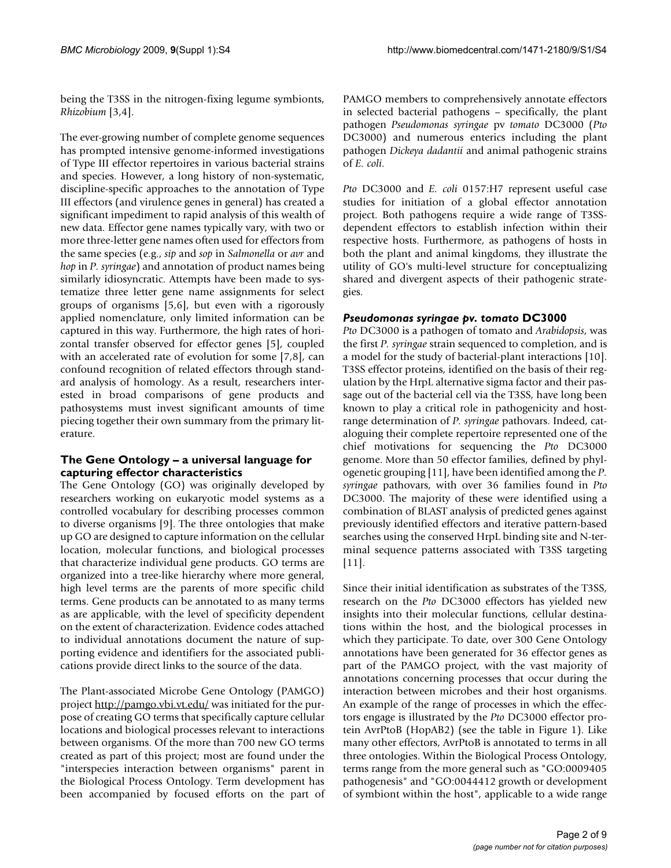being the T3SS in the nitrogen-fixing legume symbionts, *Rhizobium* [3,4].

The ever-growing number of complete genome sequences has prompted intensive genome-informed investigations of Type III effector repertoires in various bacterial strains and species. However, a long history of non-systematic, discipline-specific approaches to the annotation of Type III effectors (and virulence genes in general) has created a significant impediment to rapid analysis of this wealth of new data. Effector gene names typically vary, with two or more three-letter gene names often used for effectors from the same species (e.g., *sip* and *sop* in *Salmonella* or *avr* and *hop* in *P. syringae*) and annotation of product names being similarly idiosyncratic. Attempts have been made to systematize three letter gene name assignments for select groups of organisms [5,6], but even with a rigorously applied nomenclature, only limited information can be captured in this way. Furthermore, the high rates of horizontal transfer observed for effector genes [5], coupled with an accelerated rate of evolution for some [7,8], can confound recognition of related effectors through standard analysis of homology. As a result, researchers interested in broad comparisons of gene products and pathosystems must invest significant amounts of time piecing together their own summary from the primary literature.

# **The Gene Ontology – a universal language for capturing effector characteristics**

The Gene Ontology (GO) was originally developed by researchers working on eukaryotic model systems as a controlled vocabulary for describing processes common to diverse organisms [9]. The three ontologies that make up GO are designed to capture information on the cellular location, molecular functions, and biological processes that characterize individual gene products. GO terms are organized into a tree-like hierarchy where more general, high level terms are the parents of more specific child terms. Gene products can be annotated to as many terms as are applicable, with the level of specificity dependent on the extent of characterization. Evidence codes attached to individual annotations document the nature of supporting evidence and identifiers for the associated publications provide direct links to the source of the data.

The Plant-associated Microbe Gene Ontology (PAMGO) project<http://pamgo.vbi.vt.edu/>was initiated for the purpose of creating GO terms that specifically capture cellular locations and biological processes relevant to interactions between organisms. Of the more than 700 new GO terms created as part of this project; most are found under the "interspecies interaction between organisms" parent in the Biological Process Ontology. Term development has been accompanied by focused efforts on the part of PAMGO members to comprehensively annotate effectors in selected bacterial pathogens – specifically, the plant pathogen *Pseudomonas syringae* pv *tomato* DC3000 (*Pto* DC3000) and numerous enterics including the plant pathogen *Dickeya dadantii* and animal pathogenic strains of *E. coli*.

*Pto* DC3000 and *E. coli* 0157:H7 represent useful case studies for initiation of a global effector annotation project. Both pathogens require a wide range of T3SSdependent effectors to establish infection within their respective hosts. Furthermore, as pathogens of hosts in both the plant and animal kingdoms, they illustrate the utility of GO's multi-level structure for conceptualizing shared and divergent aspects of their pathogenic strategies.

# *Pseudomonas syringae pv. tomato* **DC3000**

*Pto* DC3000 is a pathogen of tomato and *Arabidopsis*, was the first *P. syringae* strain sequenced to completion, and is a model for the study of bacterial-plant interactions [10]. T3SS effector proteins, identified on the basis of their regulation by the HrpL alternative sigma factor and their passage out of the bacterial cell via the T3SS, have long been known to play a critical role in pathogenicity and hostrange determination of *P. syringae* pathovars. Indeed, cataloguing their complete repertoire represented one of the chief motivations for sequencing the *Pto* DC3000 genome. More than 50 effector families, defined by phylogenetic grouping [11], have been identified among the *P. syringae* pathovars, with over 36 families found in *Pto* DC3000. The majority of these were identified using a combination of BLAST analysis of predicted genes against previously identified effectors and iterative pattern-based searches using the conserved HrpL binding site and N-terminal sequence patterns associated with T3SS targeting [11].

Since their initial identification as substrates of the T3SS, research on the *Pto* DC3000 effectors has yielded new insights into their molecular functions, cellular destinations within the host, and the biological processes in which they participate. To date, over 300 Gene Ontology annotations have been generated for 36 effector genes as part of the PAMGO project, with the vast majority of annotations concerning processes that occur during the interaction between microbes and their host organisms. An example of the range of processes in which the effectors engage is illustrated by the *Pto* DC3000 effector protein AvrPtoB (HopAB2) (see the table in Figure 1). Like many other effectors, AvrPtoB is annotated to terms in all three ontologies. Within the Biological Process Ontology, terms range from the more general such as "GO:0009405 pathogenesis" and "GO:0044412 growth or development of symbiont within the host", applicable to a wide range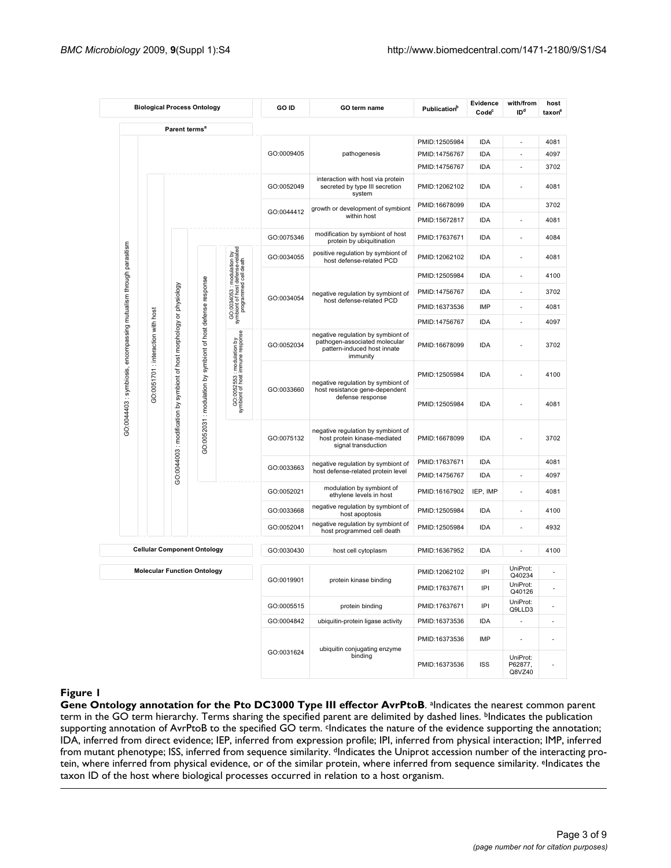| <b>Biological Process Ontology</b>                                |                                    |                              |                                    |                                                                                         | GO ID                                                                                  | GO term name                                                                                                   | Publication <sup>b</sup> | Evidence<br>Code <sup>c</sup> | with/from<br>ID <sup>d</sup>  | host<br>taxon <sup>e</sup> |
|-------------------------------------------------------------------|------------------------------------|------------------------------|------------------------------------|-----------------------------------------------------------------------------------------|----------------------------------------------------------------------------------------|----------------------------------------------------------------------------------------------------------------|--------------------------|-------------------------------|-------------------------------|----------------------------|
|                                                                   |                                    | Parent terms <sup>a</sup>    |                                    |                                                                                         |                                                                                        |                                                                                                                |                          |                               |                               |                            |
|                                                                   |                                    |                              |                                    |                                                                                         |                                                                                        |                                                                                                                | PMID:12505984            | IDA                           | ä,                            | 4081                       |
|                                                                   |                                    |                              |                                    |                                                                                         | GO:0009405                                                                             | pathogenesis                                                                                                   | PMID:14756767            | IDA                           | ä,                            | 4097                       |
|                                                                   |                                    |                              |                                    |                                                                                         |                                                                                        |                                                                                                                | PMID:14756767            | IDA                           | Ĭ.                            | 3702                       |
|                                                                   |                                    |                              |                                    |                                                                                         | GO:0052049                                                                             | interaction with host via protein<br>secreted by type III secretion<br>system                                  | PMID:12062102            | IDA                           |                               | 4081                       |
|                                                                   |                                    |                              |                                    |                                                                                         | GO:0044412                                                                             | growth or development of symbiont<br>within host                                                               | PMID:16678099            | IDA                           |                               | 3702                       |
|                                                                   |                                    |                              |                                    |                                                                                         |                                                                                        |                                                                                                                | PMID:15672817            | <b>IDA</b>                    |                               | 4081                       |
|                                                                   |                                    |                              |                                    |                                                                                         | GO:0075346                                                                             | modification by symbiont of host<br>protein by ubiquitination                                                  | PMID:17637671            | IDA                           |                               | 4084                       |
|                                                                   |                                    |                              |                                    | GO:0034053 : modulation by<br>symbiont of host defense-related<br>programmed cell death | GO:0034055                                                                             | positive regulation by symbiont of<br>host defense-related PCD                                                 | PMID:12062102            | IDA                           | ٠                             | 4081                       |
|                                                                   |                                    |                              |                                    |                                                                                         |                                                                                        |                                                                                                                | PMID:12505984            | IDA                           | ٠                             | 4100                       |
|                                                                   |                                    |                              |                                    |                                                                                         |                                                                                        | negative regulation by symbiont of<br>host defense-related PCD                                                 | PMID:14756767            | IDA                           |                               | 3702                       |
|                                                                   |                                    |                              |                                    |                                                                                         | GO:0034054                                                                             |                                                                                                                | PMID:16373536            | IMP                           |                               | 4081                       |
|                                                                   |                                    |                              |                                    |                                                                                         |                                                                                        |                                                                                                                | PMID:14756767            | IDA                           | ä,                            | 4097                       |
| GO:0044403 : symbiosis, encompassing mutualism through parasitism | GO:0051701 : interaction with host | morphology or physiology     | symbiont of host defense response  | <sub>15e</sub>                                                                          | GO:0052034                                                                             | negative regulation by symbiont of<br>pathogen-associated molecular<br>pattern-induced host innate<br>immunity | PMID:16678099            | <b>IDA</b>                    |                               | 3702                       |
|                                                                   |                                    | symbiont of host             |                                    | :553 : modulation by<br>host immune respon                                              | GO:0033660                                                                             | negative regulation by symbiont of                                                                             | PMID:12505984            | <b>IDA</b>                    |                               | 4100                       |
|                                                                   |                                    |                              |                                    | GO:00525<br>symbiont of h                                                               |                                                                                        | host resistance gene-dependent<br>defense response                                                             | PMID:12505984            | IDA                           |                               | 4081                       |
|                                                                   |                                    | GO:0044003 : modification by | GO:0052031 : modulation by         |                                                                                         | GO:0075132                                                                             | negative regulation by symbiont of<br>host protein kinase-mediated<br>signal transduction                      | PMID:16678099            | IDA                           |                               | 3702                       |
|                                                                   |                                    |                              |                                    |                                                                                         | negative regulation by symbiont of<br>GO:0033663<br>host defense-related protein level |                                                                                                                | PMID:17637671            | IDA                           |                               | 4081                       |
|                                                                   |                                    |                              |                                    |                                                                                         |                                                                                        | PMID:14756767                                                                                                  | IDA                      | ä,                            | 4097                          |                            |
|                                                                   |                                    |                              |                                    |                                                                                         | GO:0052021                                                                             | modulation by symbiont of<br>ethylene levels in host                                                           | PMID:16167902            | IEP, IMP                      | ä,                            | 4081                       |
|                                                                   |                                    |                              |                                    |                                                                                         | GO:0033668                                                                             | negative regulation by symbiont of<br>host apoptosis                                                           | PMID:12505984            | IDA                           | ä,                            | 4100                       |
|                                                                   |                                    |                              |                                    |                                                                                         | GO:0052041                                                                             | negative regulation by symbiont of<br>host programmed cell death                                               | PMID:12505984            | IDA                           |                               | 4932                       |
|                                                                   |                                    |                              | <b>Cellular Component Ontology</b> |                                                                                         | GO:0030430                                                                             | host cell cytoplasm                                                                                            | PMID:16367952            | IDA                           |                               | 4100                       |
|                                                                   | <b>Molecular Function Ontology</b> |                              |                                    |                                                                                         |                                                                                        |                                                                                                                | PMID:12062102            | IPI                           | UniProt:<br>Q40234            |                            |
|                                                                   |                                    |                              |                                    | GO:0019901                                                                              | protein kinase binding                                                                 | PMID:17637671                                                                                                  | IPI                      | UniProt:<br>Q40126            |                               |                            |
|                                                                   |                                    |                              |                                    |                                                                                         | GO:0005515                                                                             | protein binding                                                                                                | PMID:17637671            | IPI                           | UniProt:<br>Q9LLD3            |                            |
|                                                                   |                                    |                              |                                    |                                                                                         | GO:0004842                                                                             | ubiquitin-protein ligase activity                                                                              | PMID:16373536            | IDA                           | $\overline{\phantom{a}}$      | $\overline{\phantom{a}}$   |
|                                                                   |                                    |                              |                                    |                                                                                         | ubiquitin conjugating enzyme                                                           | PMID:16373536                                                                                                  | IMP                      |                               | ٠                             |                            |
|                                                                   |                                    |                              |                                    |                                                                                         | GO:0031624                                                                             | binding                                                                                                        | PMID:16373536            | <b>ISS</b>                    | UniProt:<br>P62877,<br>Q8VZ40 |                            |

# Figure 1

Gene Ontology annotation for the Pto DC3000 Type III effector AvrPtoB. <sup>a</sup>Indicates the nearest common parent term in the GO term hierarchy. Terms sharing the specified parent are delimited by dashed lines. bIndicates the publication supporting annotation of AvrPtoB to the specified GO term. <sup>c</sup>Indicates the nature of the evidence supporting the annotation; IDA, inferred from direct evidence; IEP, inferred from expression profile; IPI, inferred from physical interaction; IMP, inferred from mutant phenotype; ISS, inferred from sequence similarity. <sup>d</sup>Indicates the Uniprot accession number of the interacting protein, where inferred from physical evidence, or of the similar protein, where inferred from sequence similarity. <sup>e</sup>Indicates the taxon ID of the host where biological processes occurred in relation to a host organism.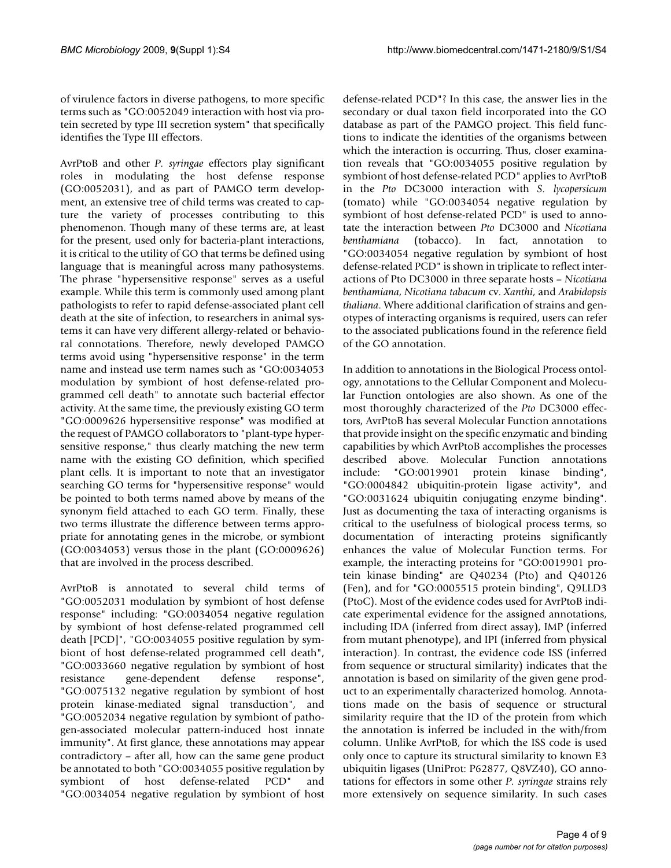of virulence factors in diverse pathogens, to more specific terms such as "GO:0052049 interaction with host via protein secreted by type III secretion system" that specifically identifies the Type III effectors.

AvrPtoB and other *P. syringae* effectors play significant roles in modulating the host defense response (GO:0052031), and as part of PAMGO term development, an extensive tree of child terms was created to capture the variety of processes contributing to this phenomenon. Though many of these terms are, at least for the present, used only for bacteria-plant interactions, it is critical to the utility of GO that terms be defined using language that is meaningful across many pathosystems. The phrase "hypersensitive response" serves as a useful example. While this term is commonly used among plant pathologists to refer to rapid defense-associated plant cell death at the site of infection, to researchers in animal systems it can have very different allergy-related or behavioral connotations. Therefore, newly developed PAMGO terms avoid using "hypersensitive response" in the term name and instead use term names such as "GO:0034053 modulation by symbiont of host defense-related programmed cell death" to annotate such bacterial effector activity. At the same time, the previously existing GO term "GO:0009626 hypersensitive response" was modified at the request of PAMGO collaborators to "plant-type hypersensitive response," thus clearly matching the new term name with the existing GO definition, which specified plant cells. It is important to note that an investigator searching GO terms for "hypersensitive response" would be pointed to both terms named above by means of the synonym field attached to each GO term. Finally, these two terms illustrate the difference between terms appropriate for annotating genes in the microbe, or symbiont (GO:0034053) versus those in the plant (GO:0009626) that are involved in the process described.

AvrPtoB is annotated to several child terms of "GO:0052031 modulation by symbiont of host defense response" including: "GO:0034054 negative regulation by symbiont of host defense-related programmed cell death [PCD]", "GO:0034055 positive regulation by symbiont of host defense-related programmed cell death", "GO:0033660 negative regulation by symbiont of host resistance gene-dependent defense response", "GO:0075132 negative regulation by symbiont of host protein kinase-mediated signal transduction", and "GO:0052034 negative regulation by symbiont of pathogen-associated molecular pattern-induced host innate immunity". At first glance, these annotations may appear contradictory – after all, how can the same gene product be annotated to both "GO:0034055 positive regulation by symbiont of host defense-related PCD" and "GO:0034054 negative regulation by symbiont of host defense-related PCD"? In this case, the answer lies in the secondary or dual taxon field incorporated into the GO database as part of the PAMGO project. This field functions to indicate the identities of the organisms between which the interaction is occurring. Thus, closer examination reveals that "GO:0034055 positive regulation by symbiont of host defense-related PCD" applies to AvrPtoB in the *Pto* DC3000 interaction with *S. lycopersicum* (tomato) while "GO:0034054 negative regulation by symbiont of host defense-related PCD" is used to annotate the interaction between *Pto* DC3000 and *Nicotiana benthamiana* (tobacco). In fact, annotation to "GO:0034054 negative regulation by symbiont of host defense-related PCD" is shown in triplicate to reflect interactions of Pto DC3000 in three separate hosts – *Nicotiana benthamiana*, *Nicotiana tabacum* cv. *Xanthi*, and *Arabidopsis thaliana*. Where additional clarification of strains and genotypes of interacting organisms is required, users can refer to the associated publications found in the reference field of the GO annotation.

In addition to annotations in the Biological Process ontology, annotations to the Cellular Component and Molecular Function ontologies are also shown. As one of the most thoroughly characterized of the *Pto* DC3000 effectors, AvrPtoB has several Molecular Function annotations that provide insight on the specific enzymatic and binding capabilities by which AvrPtoB accomplishes the processes described above. Molecular Function annotations include: "GO:0019901 protein kinase binding", "GO:0004842 ubiquitin-protein ligase activity", and "GO:0031624 ubiquitin conjugating enzyme binding". Just as documenting the taxa of interacting organisms is critical to the usefulness of biological process terms, so documentation of interacting proteins significantly enhances the value of Molecular Function terms. For example, the interacting proteins for "GO:0019901 protein kinase binding" are Q40234 (Pto) and Q40126 (Fen), and for "GO:0005515 protein binding", Q9LLD3 (PtoC). Most of the evidence codes used for AvrPtoB indicate experimental evidence for the assigned annotations, including IDA (inferred from direct assay), IMP (inferred from mutant phenotype), and IPI (inferred from physical interaction). In contrast, the evidence code ISS (inferred from sequence or structural similarity) indicates that the annotation is based on similarity of the given gene product to an experimentally characterized homolog. Annotations made on the basis of sequence or structural similarity require that the ID of the protein from which the annotation is inferred be included in the with/from column. Unlike AvrPtoB, for which the ISS code is used only once to capture its structural similarity to known E3 ubiquitin ligases (UniProt: P62877, Q8VZ40), GO annotations for effectors in some other *P. syringae* strains rely more extensively on sequence similarity. In such cases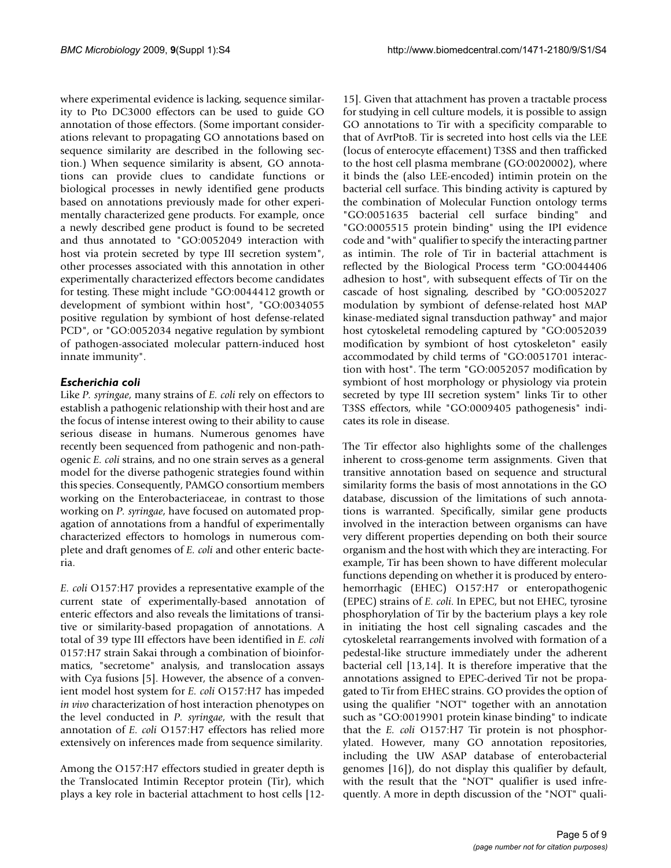where experimental evidence is lacking, sequence similarity to Pto DC3000 effectors can be used to guide GO annotation of those effectors. (Some important considerations relevant to propagating GO annotations based on sequence similarity are described in the following section.) When sequence similarity is absent, GO annotations can provide clues to candidate functions or biological processes in newly identified gene products based on annotations previously made for other experimentally characterized gene products. For example, once a newly described gene product is found to be secreted and thus annotated to "GO:0052049 interaction with host via protein secreted by type III secretion system", other processes associated with this annotation in other experimentally characterized effectors become candidates for testing. These might include "GO:0044412 growth or development of symbiont within host", "GO:0034055 positive regulation by symbiont of host defense-related PCD", or "GO:0052034 negative regulation by symbiont of pathogen-associated molecular pattern-induced host innate immunity".

# *Escherichia coli*

Like *P. syringae*, many strains of *E. coli* rely on effectors to establish a pathogenic relationship with their host and are the focus of intense interest owing to their ability to cause serious disease in humans. Numerous genomes have recently been sequenced from pathogenic and non-pathogenic *E. coli* strains, and no one strain serves as a general model for the diverse pathogenic strategies found within this species. Consequently, PAMGO consortium members working on the Enterobacteriaceae, in contrast to those working on *P. syringae*, have focused on automated propagation of annotations from a handful of experimentally characterized effectors to homologs in numerous complete and draft genomes of *E. coli* and other enteric bacteria.

*E. coli* O157:H7 provides a representative example of the current state of experimentally-based annotation of enteric effectors and also reveals the limitations of transitive or similarity-based propagation of annotations. A total of 39 type III effectors have been identified in *E. coli* 0157:H7 strain Sakai through a combination of bioinformatics, "secretome" analysis, and translocation assays with Cya fusions [5]. However, the absence of a convenient model host system for *E. coli* O157:H7 has impeded *in vivo* characterization of host interaction phenotypes on the level conducted in *P. syringae*, with the result that annotation of *E. coli* O157:H7 effectors has relied more extensively on inferences made from sequence similarity.

Among the O157:H7 effectors studied in greater depth is the Translocated Intimin Receptor protein (Tir), which plays a key role in bacterial attachment to host cells [12-

15]. Given that attachment has proven a tractable process for studying in cell culture models, it is possible to assign GO annotations to Tir with a specificity comparable to that of AvrPtoB. Tir is secreted into host cells via the LEE (locus of enterocyte effacement) T3SS and then trafficked to the host cell plasma membrane (GO:0020002), where it binds the (also LEE-encoded) intimin protein on the bacterial cell surface. This binding activity is captured by the combination of Molecular Function ontology terms "GO:0051635 bacterial cell surface binding" and "GO:0005515 protein binding" using the IPI evidence code and "with" qualifier to specify the interacting partner as intimin. The role of Tir in bacterial attachment is reflected by the Biological Process term "GO:0044406 adhesion to host", with subsequent effects of Tir on the cascade of host signaling, described by "GO:0052027 modulation by symbiont of defense-related host MAP kinase-mediated signal transduction pathway" and major host cytoskeletal remodeling captured by "GO:0052039 modification by symbiont of host cytoskeleton" easily accommodated by child terms of "GO:0051701 interaction with host". The term "GO:0052057 modification by symbiont of host morphology or physiology via protein secreted by type III secretion system" links Tir to other T3SS effectors, while "GO:0009405 pathogenesis" indicates its role in disease.

The Tir effector also highlights some of the challenges inherent to cross-genome term assignments. Given that transitive annotation based on sequence and structural similarity forms the basis of most annotations in the GO database, discussion of the limitations of such annotations is warranted. Specifically, similar gene products involved in the interaction between organisms can have very different properties depending on both their source organism and the host with which they are interacting. For example, Tir has been shown to have different molecular functions depending on whether it is produced by enterohemorrhagic (EHEC) O157:H7 or enteropathogenic (EPEC) strains of *E. coli*. In EPEC, but not EHEC, tyrosine phosphorylation of Tir by the bacterium plays a key role in initiating the host cell signaling cascades and the cytoskeletal rearrangements involved with formation of a pedestal-like structure immediately under the adherent bacterial cell [13,14]. It is therefore imperative that the annotations assigned to EPEC-derived Tir not be propagated to Tir from EHEC strains. GO provides the option of using the qualifier "NOT" together with an annotation such as "GO:0019901 protein kinase binding" to indicate that the *E. coli* O157:H7 Tir protein is not phosphorylated. However, many GO annotation repositories, including the UW ASAP database of enterobacterial genomes [16]), do not display this qualifier by default, with the result that the "NOT" qualifier is used infrequently. A more in depth discussion of the "NOT" quali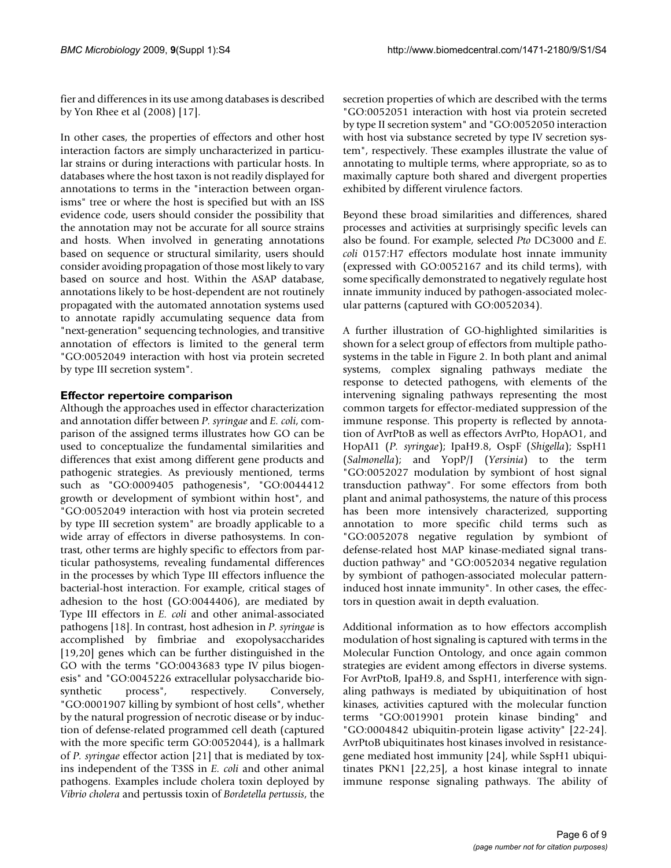fier and differences in its use among databases is described by Yon Rhee et al (2008) [17].

In other cases, the properties of effectors and other host interaction factors are simply uncharacterized in particular strains or during interactions with particular hosts. In databases where the host taxon is not readily displayed for annotations to terms in the "interaction between organisms" tree or where the host is specified but with an ISS evidence code, users should consider the possibility that the annotation may not be accurate for all source strains and hosts. When involved in generating annotations based on sequence or structural similarity, users should consider avoiding propagation of those most likely to vary based on source and host. Within the ASAP database, annotations likely to be host-dependent are not routinely propagated with the automated annotation systems used to annotate rapidly accumulating sequence data from "next-generation" sequencing technologies, and transitive annotation of effectors is limited to the general term "GO:0052049 interaction with host via protein secreted by type III secretion system".

# **Effector repertoire comparison**

Although the approaches used in effector characterization and annotation differ between *P. syringae* and *E. coli*, comparison of the assigned terms illustrates how GO can be used to conceptualize the fundamental similarities and differences that exist among different gene products and pathogenic strategies. As previously mentioned, terms such as "GO:0009405 pathogenesis", "GO:0044412 growth or development of symbiont within host", and "GO:0052049 interaction with host via protein secreted by type III secretion system" are broadly applicable to a wide array of effectors in diverse pathosystems. In contrast, other terms are highly specific to effectors from particular pathosystems, revealing fundamental differences in the processes by which Type III effectors influence the bacterial-host interaction. For example, critical stages of adhesion to the host (GO:0044406), are mediated by Type III effectors in *E. coli* and other animal-associated pathogens [18]. In contrast, host adhesion in *P. syringae* is accomplished by fimbriae and exopolysaccharides [19,20] genes which can be further distinguished in the GO with the terms "GO:0043683 type IV pilus biogenesis" and "GO:0045226 extracellular polysaccharide biosynthetic process", respectively. Conversely, "GO:0001907 killing by symbiont of host cells", whether by the natural progression of necrotic disease or by induction of defense-related programmed cell death (captured with the more specific term GO:0052044), is a hallmark of *P. syringae* effector action [21] that is mediated by toxins independent of the T3SS in *E. coli* and other animal pathogens. Examples include cholera toxin deployed by *Vibrio cholera* and pertussis toxin of *Bordetella pertussis*, the secretion properties of which are described with the terms "GO:0052051 interaction with host via protein secreted by type II secretion system" and "GO:0052050 interaction with host via substance secreted by type IV secretion system", respectively. These examples illustrate the value of annotating to multiple terms, where appropriate, so as to maximally capture both shared and divergent properties exhibited by different virulence factors.

Beyond these broad similarities and differences, shared processes and activities at surprisingly specific levels can also be found. For example, selected *Pto* DC3000 and *E. coli* 0157:H7 effectors modulate host innate immunity (expressed with GO:0052167 and its child terms), with some specifically demonstrated to negatively regulate host innate immunity induced by pathogen-associated molecular patterns (captured with GO:0052034).

A further illustration of GO-highlighted similarities is shown for a select group of effectors from multiple pathosystems in the table in Figure 2. In both plant and animal systems, complex signaling pathways mediate the response to detected pathogens, with elements of the intervening signaling pathways representing the most common targets for effector-mediated suppression of the immune response. This property is reflected by annotation of AvrPtoB as well as effectors AvrPto, HopAO1, and HopAI1 (*P. syringae*); IpaH9.8, OspF (*Shigella*); SspH1 (*Salmonella*); and YopP/J (*Yersinia*) to the term "GO:0052027 modulation by symbiont of host signal transduction pathway". For some effectors from both plant and animal pathosystems, the nature of this process has been more intensively characterized, supporting annotation to more specific child terms such as "GO:0052078 negative regulation by symbiont of defense-related host MAP kinase-mediated signal transduction pathway" and "GO:0052034 negative regulation by symbiont of pathogen-associated molecular patterninduced host innate immunity". In other cases, the effectors in question await in depth evaluation.

Additional information as to how effectors accomplish modulation of host signaling is captured with terms in the Molecular Function Ontology, and once again common strategies are evident among effectors in diverse systems. For AvrPtoB, IpaH9.8, and SspH1, interference with signaling pathways is mediated by ubiquitination of host kinases, activities captured with the molecular function terms "GO:0019901 protein kinase binding" and "GO:0004842 ubiquitin-protein ligase activity" [22-24]. AvrPtoB ubiquitinates host kinases involved in resistancegene mediated host immunity [24], while SspH1 ubiquitinates PKN1 [22,25], a host kinase integral to innate immune response signaling pathways. The ability of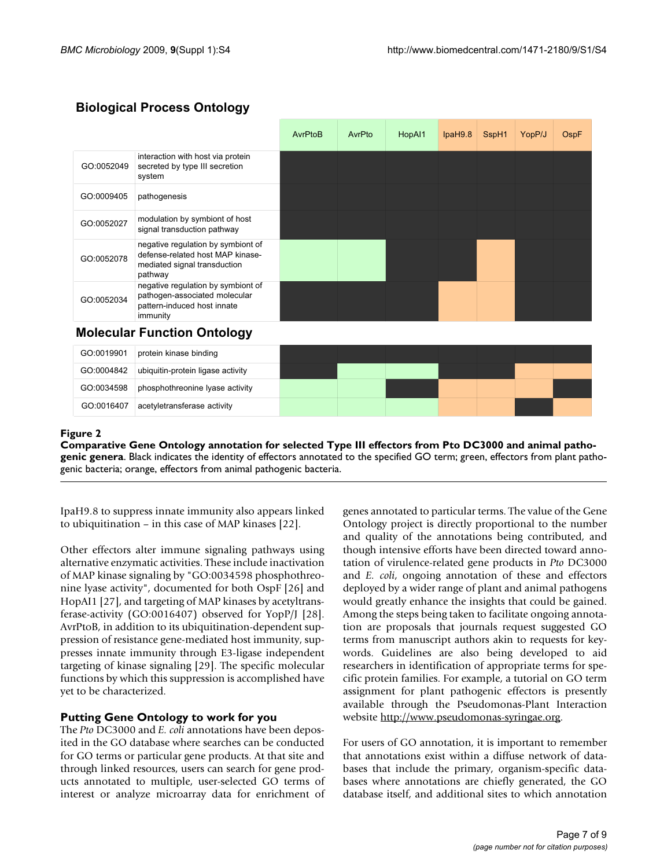| <b>Biological Process Ontology</b> |  |
|------------------------------------|--|
|                                    |  |

|            |                                                                                                                   | AvrPtoB | AvrPto | HopAI1 | IpaH9.8 | SspH1 | YopP/J | OspF |
|------------|-------------------------------------------------------------------------------------------------------------------|---------|--------|--------|---------|-------|--------|------|
| GO:0052049 | interaction with host via protein<br>secreted by type III secretion<br>system                                     |         |        |        |         |       |        |      |
| GO:0009405 | pathogenesis                                                                                                      |         |        |        |         |       |        |      |
| GO:0052027 | modulation by symbiont of host<br>signal transduction pathway                                                     |         |        |        |         |       |        |      |
| GO:0052078 | negative regulation by symbiont of<br>defense-related host MAP kinase-<br>mediated signal transduction<br>pathway |         |        |        |         |       |        |      |
| GO:0052034 | negative regulation by symbiont of<br>pathogen-associated molecular<br>pattern-induced host innate<br>immunity    |         |        |        |         |       |        |      |
|            | <b>Molecular Function Ontology</b>                                                                                |         |        |        |         |       |        |      |
| GO:0019901 | protein kinase binding                                                                                            |         |        |        |         |       |        |      |
| GO:0004842 | ubiquitin-protein ligase activity                                                                                 |         |        |        |         |       |        |      |
| GO:0034598 | phosphothreonine lyase activity                                                                                   |         |        |        |         |       |        |      |

# Comparative Gene Ontology annotation **Figure 2** for selected Type III effectors from Pto DC3000 and animal pathogenic genera

**Comparative Gene Ontology annotation for selected Type III effectors from Pto DC3000 and animal pathogenic genera**. Black indicates the identity of effectors annotated to the specified GO term; green, effectors from plant pathogenic bacteria; orange, effectors from animal pathogenic bacteria.

IpaH9.8 to suppress innate immunity also appears linked to ubiquitination – in this case of MAP kinases [22].

GO:0016407 acetyletransferase activity

Other effectors alter immune signaling pathways using alternative enzymatic activities. These include inactivation of MAP kinase signaling by "GO:0034598 phosphothreonine lyase activity", documented for both OspF [26] and HopAI1 [27], and targeting of MAP kinases by acetyltransferase-activity (GO:0016407) observed for YopP/J [28]. AvrPtoB, in addition to its ubiquitination-dependent suppression of resistance gene-mediated host immunity, suppresses innate immunity through E3-ligase independent targeting of kinase signaling [29]. The specific molecular functions by which this suppression is accomplished have yet to be characterized.

# **Putting Gene Ontology to work for you**

The *Pto* DC3000 and *E. coli* annotations have been deposited in the GO database where searches can be conducted for GO terms or particular gene products. At that site and through linked resources, users can search for gene products annotated to multiple, user-selected GO terms of interest or analyze microarray data for enrichment of genes annotated to particular terms. The value of the Gene Ontology project is directly proportional to the number and quality of the annotations being contributed, and though intensive efforts have been directed toward annotation of virulence-related gene products in *Pto* DC3000 and *E. coli*, ongoing annotation of these and effectors deployed by a wider range of plant and animal pathogens would greatly enhance the insights that could be gained. Among the steps being taken to facilitate ongoing annotation are proposals that journals request suggested GO terms from manuscript authors akin to requests for keywords. Guidelines are also being developed to aid researchers in identification of appropriate terms for specific protein families. For example, a tutorial on GO term assignment for plant pathogenic effectors is presently available through the Pseudomonas-Plant Interaction website<http://www.pseudomonas-syringae.org>.

For users of GO annotation, it is important to remember that annotations exist within a diffuse network of databases that include the primary, organism-specific databases where annotations are chiefly generated, the GO database itself, and additional sites to which annotation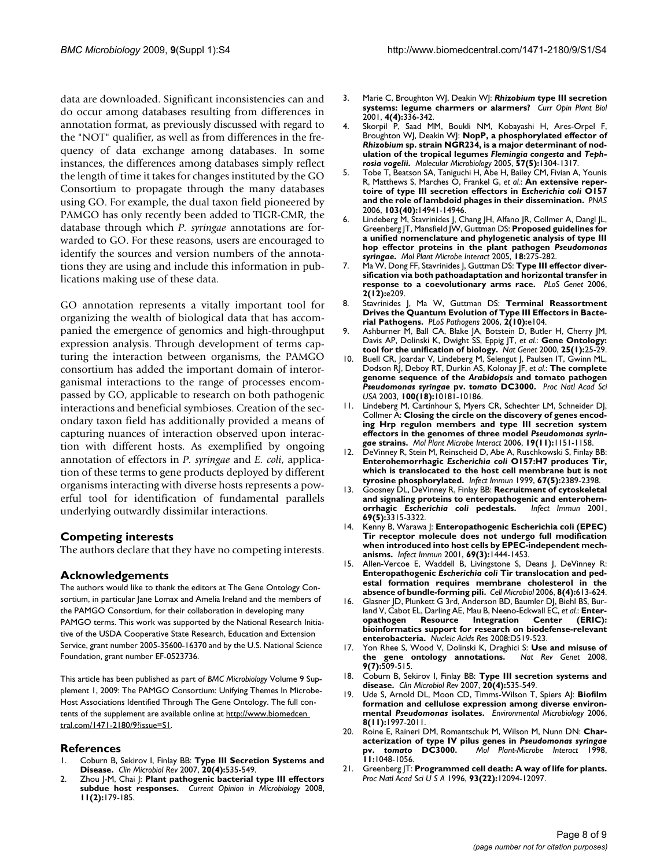data are downloaded. Significant inconsistencies can and do occur among databases resulting from differences in annotation format, as previously discussed with regard to the "NOT" qualifier, as well as from differences in the frequency of data exchange among databases. In some instances, the differences among databases simply reflect the length of time it takes for changes instituted by the GO Consortium to propagate through the many databases using GO. For example, the dual taxon field pioneered by PAMGO has only recently been added to TIGR-CMR, the database through which *P. syringae* annotations are forwarded to GO. For these reasons, users are encouraged to identify the sources and version numbers of the annotations they are using and include this information in publications making use of these data.

GO annotation represents a vitally important tool for organizing the wealth of biological data that has accompanied the emergence of genomics and high-throughput expression analysis. Through development of terms capturing the interaction between organisms, the PAMGO consortium has added the important domain of interorganismal interactions to the range of processes encompassed by GO, applicable to research on both pathogenic interactions and beneficial symbioses. Creation of the secondary taxon field has additionally provided a means of capturing nuances of interaction observed upon interaction with different hosts. As exemplified by ongoing annotation of effectors in *P. syringae* and *E. coli*, application of these terms to gene products deployed by different organisms interacting with diverse hosts represents a powerful tool for identification of fundamental parallels underlying outwardly dissimilar interactions.

#### **Competing interests**

The authors declare that they have no competing interests.

### **Acknowledgements**

The authors would like to thank the editors at The Gene Ontology Consortium, in particular Jane Lomax and Amelia Ireland and the members of the PAMGO Consortium, for their collaboration in developing many PAMGO terms. This work was supported by the National Research Initiative of the USDA Cooperative State Research, Education and Extension Service, grant number 2005-35600-16370 and by the U.S. National Science Foundation, grant number EF-0523736.

This article has been published as part of *BMC Microbiology* Volume 9 Supplement 1, 2009: The PAMGO Consortium: Unifying Themes In Microbe-Host Associations Identified Through The Gene Ontology. The full contents of the supplement are available online at [http://www.biomedcen](http://www.biomedcentral.com/1471-2180/9?issue=S1)  [tral.com/1471-2180/9?issue=S1.](http://www.biomedcentral.com/1471-2180/9?issue=S1)

#### **References**

- 1. Coburn B, Sekirov I, Finlay BB: **[Type III Secretion Systems and](http://www.ncbi.nlm.nih.gov/entrez/query.fcgi?cmd=Retrieve&db=PubMed&dopt=Abstract&list_uids=17934073) [Disease.](http://www.ncbi.nlm.nih.gov/entrez/query.fcgi?cmd=Retrieve&db=PubMed&dopt=Abstract&list_uids=17934073)** *Clin Microbiol Rev* 2007, **20(4):**535-549.
- 2. Zhou J-M, Chai J: **[Plant pathogenic bacterial type III effectors](http://www.ncbi.nlm.nih.gov/entrez/query.fcgi?cmd=Retrieve&db=PubMed&dopt=Abstract&list_uids=18372208) [subdue host responses.](http://www.ncbi.nlm.nih.gov/entrez/query.fcgi?cmd=Retrieve&db=PubMed&dopt=Abstract&list_uids=18372208)** *Current Opinion in Microbiology* 2008, **11(2):**179-185.
- 3. Marie C, Broughton WJ, Deakin WJ: *Rhizobium* **[type III secretion](http://www.ncbi.nlm.nih.gov/entrez/query.fcgi?cmd=Retrieve&db=PubMed&dopt=Abstract&list_uids=11418344) [systems: legume charmers or alarmers?](http://www.ncbi.nlm.nih.gov/entrez/query.fcgi?cmd=Retrieve&db=PubMed&dopt=Abstract&list_uids=11418344)** *Curr Opin Plant Biol* 2001, **4(4):**336-342.
- 4. Skorpil P, Saad MM, Boukli NM, Kobayashi H, Ares-Orpel F, Broughton WJ, Deakin WJ: **NopP, a phosphorylated effector of** *Rhizobium* **sp. strain NGR234, is a major determinant of nodulation of the tropical legumes** *Flemingia congesta* **and** *Tephrosia vogelii***[.](http://www.ncbi.nlm.nih.gov/entrez/query.fcgi?cmd=Retrieve&db=PubMed&dopt=Abstract&list_uids=16102002)** *Molecular Microbiology* 2005, **57(5):**1304-1317.
- 5. Tobe T, Beatson SA, Taniguchi H, Abe H, Bailey CM, Fivian A, Younis R, Matthews S, Marches O, Frankel G, *et al.*: **An extensive repertoire of type III secretion effectors in** *Escherichia coli* **[O157](http://www.ncbi.nlm.nih.gov/entrez/query.fcgi?cmd=Retrieve&db=PubMed&dopt=Abstract&list_uids=16990433) [and the role of lambdoid phages in their dissemination.](http://www.ncbi.nlm.nih.gov/entrez/query.fcgi?cmd=Retrieve&db=PubMed&dopt=Abstract&list_uids=16990433)** *PNAS* 2006, **103(40):**14941-14946.
- 6. Lindeberg M, Stavrinides J, Chang JH, Alfano JR, Collmer A, Dangl JL, Greenberg JT, Mansfield JW, Guttman DS: **Proposed guidelines for a unified nomenclature and phylogenetic analysis of type III hop effector proteins in the plant pathogen** *Pseudomonas syringae***[.](http://www.ncbi.nlm.nih.gov/entrez/query.fcgi?cmd=Retrieve&db=PubMed&dopt=Abstract&list_uids=15828679)** *Mol Plant Microbe Interact* 2005, **18:**275-282.
- 7. Ma W, Dong FF, Stavrinides J, Guttman DS: **[Type III effector diver](http://www.ncbi.nlm.nih.gov/entrez/query.fcgi?cmd=Retrieve&db=PubMed&dopt=Abstract&list_uids=17194219)[sification via both pathoadaptation and horizontal transfer in](http://www.ncbi.nlm.nih.gov/entrez/query.fcgi?cmd=Retrieve&db=PubMed&dopt=Abstract&list_uids=17194219) [response to a coevolutionary arms race.](http://www.ncbi.nlm.nih.gov/entrez/query.fcgi?cmd=Retrieve&db=PubMed&dopt=Abstract&list_uids=17194219)** *PLoS Genet* 2006, **2(12):**e209.
- 8. Stavrinides J, Ma W, Guttman DS: **[Terminal Reassortment](http://www.ncbi.nlm.nih.gov/entrez/query.fcgi?cmd=Retrieve&db=PubMed&dopt=Abstract&list_uids=17040127)** [Drives the Quantum Evolution of Type III Effectors in Bacte](http://www.ncbi.nlm.nih.gov/entrez/query.fcgi?cmd=Retrieve&db=PubMed&dopt=Abstract&list_uids=17040127)**[rial Pathogens.](http://www.ncbi.nlm.nih.gov/entrez/query.fcgi?cmd=Retrieve&db=PubMed&dopt=Abstract&list_uids=17040127)** *PLoS Pathogens* 2006, **2(10):**e104.
- 9. Ashburner M, Ball CA, Blake JA, Botstein D, Butler H, Cherry JM, Davis AP, Dolinski K, Dwight SS, Eppig JT, *et al.*: **[Gene Ontology:](http://www.ncbi.nlm.nih.gov/entrez/query.fcgi?cmd=Retrieve&db=PubMed&dopt=Abstract&list_uids=10802651) [tool for the unification of biology.](http://www.ncbi.nlm.nih.gov/entrez/query.fcgi?cmd=Retrieve&db=PubMed&dopt=Abstract&list_uids=10802651)** *Nat Genet* 2000, **25(1):**25-29.
- 10. Buell CR, Joardar V, Lindeberg M, Selengut J, Paulsen IT, Gwinn ML, Dodson RJ, Deboy RT, Durkin AS, Kolonay JF, *et al.*: **The complete genome sequence of the** *Arabidopsis* **and tomato pathogen** *Pseudomonas syringae* **pv.** *tomato* **[DC3000.](http://www.ncbi.nlm.nih.gov/entrez/query.fcgi?cmd=Retrieve&db=PubMed&dopt=Abstract&list_uids=12928499)** *Proc Natl Acad Sci USA* 2003, **100(18):**10181-10186.
- 11. Lindeberg M, Cartinhour S, Myers CR, Schechter LM, Schneider DJ, Collmer A: **Closing the circle on the discovery of genes encoding Hrp regulon members and type III secretion system effectors in the genomes of three model** *Pseudomonas syringae* **[strains.](http://www.ncbi.nlm.nih.gov/entrez/query.fcgi?cmd=Retrieve&db=PubMed&dopt=Abstract&list_uids=17073298)** *Mol Plant Microbe Interact* 2006, **19(11):**1151-1158.
- 12. DeVinney R, Stein M, Reinscheid D, Abe A, Ruschkowski S, Finlay BB: **Enterohemorrhagic** *Escherichia coli* **[O157:H7 produces Tir,](http://www.ncbi.nlm.nih.gov/entrez/query.fcgi?cmd=Retrieve&db=PubMed&dopt=Abstract&list_uids=10225900) [which is translocated to the host cell membrane but is not](http://www.ncbi.nlm.nih.gov/entrez/query.fcgi?cmd=Retrieve&db=PubMed&dopt=Abstract&list_uids=10225900) [tyrosine phosphorylated.](http://www.ncbi.nlm.nih.gov/entrez/query.fcgi?cmd=Retrieve&db=PubMed&dopt=Abstract&list_uids=10225900)** *Infect Immun* 1999, **67(5):**2389-2398.
- 13. Goosney DL, DeVinney R, Finlay BB: **Recruitment of cytoskeletal and signaling proteins to enteropathogenic and enterohemorrhagic** *Escherichia coli* **[pedestals.](http://www.ncbi.nlm.nih.gov/entrez/query.fcgi?cmd=Retrieve&db=PubMed&dopt=Abstract&list_uids=11292754)** *Infect Immun* 2001, **69(5):**3315-3322.
- 14. Kenny B, Warawa J: **[Enteropathogenic Escherichia coli \(EPEC\)](http://www.ncbi.nlm.nih.gov/entrez/query.fcgi?cmd=Retrieve&db=PubMed&dopt=Abstract&list_uids=11179311) [Tir receptor molecule does not undergo full modification](http://www.ncbi.nlm.nih.gov/entrez/query.fcgi?cmd=Retrieve&db=PubMed&dopt=Abstract&list_uids=11179311) when introduced into host cells by EPEC-independent mech[anisms.](http://www.ncbi.nlm.nih.gov/entrez/query.fcgi?cmd=Retrieve&db=PubMed&dopt=Abstract&list_uids=11179311)** *Infect Immun* 2001, **69(3):**1444-1453.
- 15. Allen-Vercoe E, Waddell B, Livingstone S, Deans J, DeVinney R: **Enteropathogenic** *Escherichia coli* **[Tir translocation and ped](http://www.ncbi.nlm.nih.gov/entrez/query.fcgi?cmd=Retrieve&db=PubMed&dopt=Abstract&list_uids=16548887)[estal formation requires membrane cholesterol in the](http://www.ncbi.nlm.nih.gov/entrez/query.fcgi?cmd=Retrieve&db=PubMed&dopt=Abstract&list_uids=16548887) [absence of bundle-forming pili.](http://www.ncbi.nlm.nih.gov/entrez/query.fcgi?cmd=Retrieve&db=PubMed&dopt=Abstract&list_uids=16548887)** *Cell Microbiol* 2006, **8(4):**613-624.
- 16. Glasner JD, Plunkett G 3rd, Anderson BD, Baumler DJ, Biehl BS, Burland V, Cabot EL, Darling AE, Mau B, Neeno-Eckwall EC, *et al.*: **[Enter](http://www.ncbi.nlm.nih.gov/entrez/query.fcgi?cmd=Retrieve&db=PubMed&dopt=Abstract&list_uids=17999997)[opathogen Resource Integration Center \(ERIC\):](http://www.ncbi.nlm.nih.gov/entrez/query.fcgi?cmd=Retrieve&db=PubMed&dopt=Abstract&list_uids=17999997) bioinformatics support for research on biodefense-relevant [enterobacteria.](http://www.ncbi.nlm.nih.gov/entrez/query.fcgi?cmd=Retrieve&db=PubMed&dopt=Abstract&list_uids=17999997)** *Nucleic Acids Res* 2008:D519-523.
- 17. Yon Rhee S, Wood V, Dolinski K, Draghici S: **[Use and misuse of](http://www.ncbi.nlm.nih.gov/entrez/query.fcgi?cmd=Retrieve&db=PubMed&dopt=Abstract&list_uids=18475267)** [the gene ontology annotations.](http://www.ncbi.nlm.nih.gov/entrez/query.fcgi?cmd=Retrieve&db=PubMed&dopt=Abstract&list_uids=18475267) **9(7):**509-515.
- 18. Coburn B, Sekirov I, Finlay BB: **[Type III secretion systems and](http://www.ncbi.nlm.nih.gov/entrez/query.fcgi?cmd=Retrieve&db=PubMed&dopt=Abstract&list_uids=17934073) [disease.](http://www.ncbi.nlm.nih.gov/entrez/query.fcgi?cmd=Retrieve&db=PubMed&dopt=Abstract&list_uids=17934073)** *Clin Microbiol Rev* 2007, **20(4):**535-549.
- 19. Ude S, Arnold DL, Moon CD, Timms-Wilson T, Spiers AJ: **Biofilm formation and cellulose expression among diverse environmental** *Pseudomonas* **[isolates.](http://www.ncbi.nlm.nih.gov/entrez/query.fcgi?cmd=Retrieve&db=PubMed&dopt=Abstract&list_uids=17014498)** *Environmental Microbiology* 2006, **8(11):**1997-2011.
- 20. Roine E, Raineri DM, Romantschuk M, Wilson M, Nunn DN: **Characterization of type IV pilus genes in** *Pseudomonas syringae* **pv.** *tomato* **[DC3000.](http://www.ncbi.nlm.nih.gov/entrez/query.fcgi?cmd=Retrieve&db=PubMed&dopt=Abstract&list_uids=9805392)** *Mol Plant-Microbe Interact* 1998, **11:**1048-1056.
- 21. Greenberg JT: **[Programmed cell death: A way of life for plants.](http://www.ncbi.nlm.nih.gov/entrez/query.fcgi?cmd=Retrieve&db=PubMed&dopt=Abstract&list_uids=8901538)** *Proc Natl Acad Sci U S A* 1996, **93(22):**12094-12097.